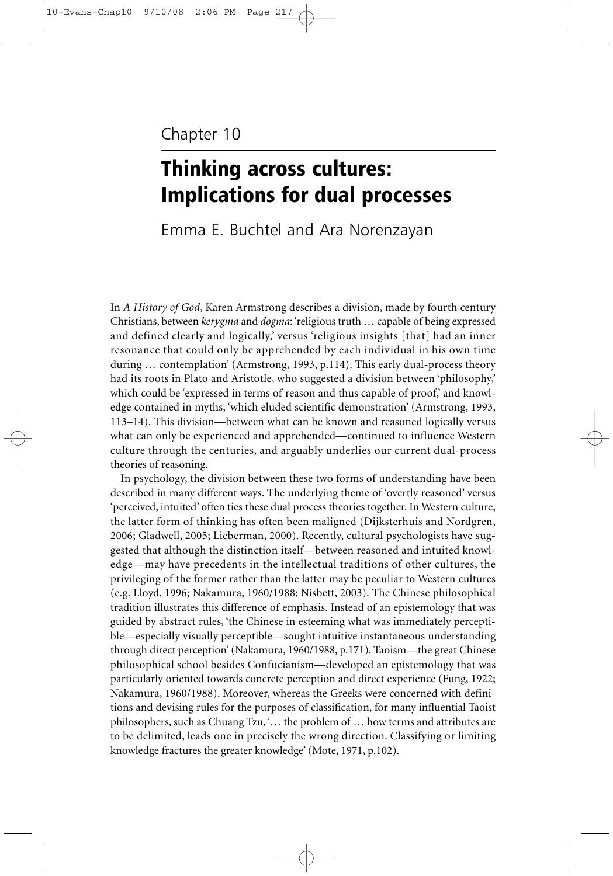# Chapter 10

# Thinking across cultures: Implications for dual processes

Emma E. Buchtel and Ara Norenzayan

In *A History of God*, Karen Armstrong describes a division, made by fourth century Christians, between *kerygma* and *dogma*: 'religious truth … capable of being expressed and defined clearly and logically,' versus 'religious insights [that] had an inner resonance that could only be apprehended by each individual in his own time during … contemplation' (Armstrong, 1993, p.114). This early dual-process theory had its roots in Plato and Aristotle, who suggested a division between 'philosophy,' which could be 'expressed in terms of reason and thus capable of proof,' and knowledge contained in myths, 'which eluded scientific demonstration' (Armstrong, 1993, 113–14). This division—between what can be known and reasoned logically versus what can only be experienced and apprehended—continued to influence Western culture through the centuries, and arguably underlies our current dual-process theories of reasoning.

In psychology, the division between these two forms of understanding have been described in many different ways. The underlying theme of 'overtly reasoned' versus 'perceived, intuited' often ties these dual process theories together. In Western culture, the latter form of thinking has often been maligned (Dijksterhuis and Nordgren, 2006; Gladwell, 2005; Lieberman, 2000). Recently, cultural psychologists have suggested that although the distinction itself—between reasoned and intuited knowledge—may have precedents in the intellectual traditions of other cultures, the privileging of the former rather than the latter may be peculiar to Western cultures (e.g. Lloyd, 1996; Nakamura, 1960/1988; Nisbett, 2003). The Chinese philosophical tradition illustrates this difference of emphasis. Instead of an epistemology that was guided by abstract rules, 'the Chinese in esteeming what was immediately perceptible—especially visually perceptible—sought intuitive instantaneous understanding through direct perception' (Nakamura, 1960/1988, p.171). Taoism—the great Chinese philosophical school besides Confucianism—developed an epistemology that was particularly oriented towards concrete perception and direct experience (Fung, 1922; Nakamura, 1960/1988). Moreover, whereas the Greeks were concerned with definitions and devising rules for the purposes of classification, for many influential Taoist philosophers, such as Chuang Tzu, '… the problem of … how terms and attributes are to be delimited, leads one in precisely the wrong direction. Classifying or limiting knowledge fractures the greater knowledge' (Mote, 1971, p.102).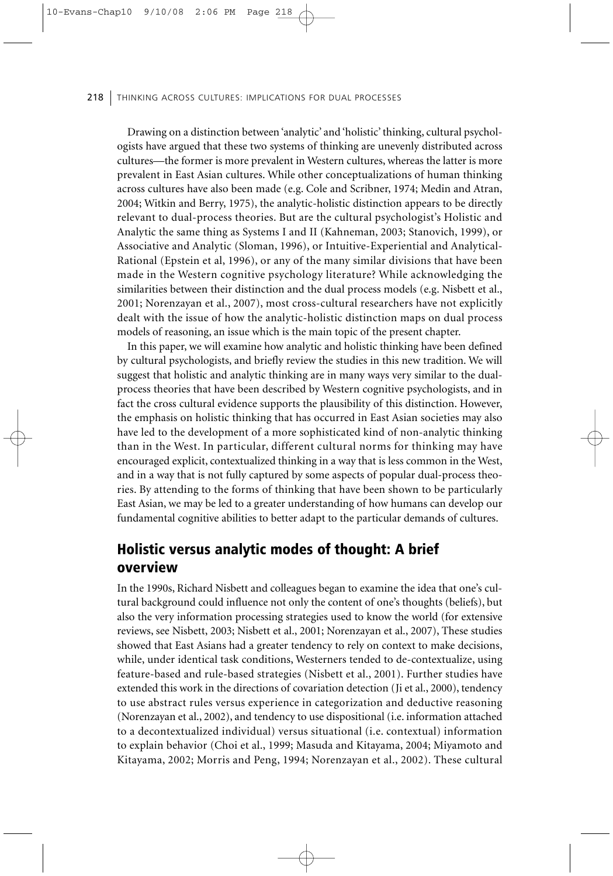Drawing on a distinction between 'analytic' and 'holistic' thinking, cultural psychologists have argued that these two systems of thinking are unevenly distributed across cultures—the former is more prevalent in Western cultures, whereas the latter is more prevalent in East Asian cultures. While other conceptualizations of human thinking across cultures have also been made (e.g. Cole and Scribner, 1974; Medin and Atran, 2004; Witkin and Berry, 1975), the analytic-holistic distinction appears to be directly relevant to dual-process theories. But are the cultural psychologist's Holistic and Analytic the same thing as Systems I and II (Kahneman, 2003; Stanovich, 1999), or Associative and Analytic (Sloman, 1996), or Intuitive-Experiential and Analytical-Rational (Epstein et al, 1996), or any of the many similar divisions that have been made in the Western cognitive psychology literature? While acknowledging the similarities between their distinction and the dual process models (e.g. Nisbett et al., 2001; Norenzayan et al., 2007), most cross-cultural researchers have not explicitly dealt with the issue of how the analytic-holistic distinction maps on dual process models of reasoning, an issue which is the main topic of the present chapter.

In this paper, we will examine how analytic and holistic thinking have been defined by cultural psychologists, and briefly review the studies in this new tradition. We will suggest that holistic and analytic thinking are in many ways very similar to the dualprocess theories that have been described by Western cognitive psychologists, and in fact the cross cultural evidence supports the plausibility of this distinction. However, the emphasis on holistic thinking that has occurred in East Asian societies may also have led to the development of a more sophisticated kind of non-analytic thinking than in the West. In particular, different cultural norms for thinking may have encouraged explicit, contextualized thinking in a way that is less common in the West, and in a way that is not fully captured by some aspects of popular dual-process theories. By attending to the forms of thinking that have been shown to be particularly East Asian, we may be led to a greater understanding of how humans can develop our fundamental cognitive abilities to better adapt to the particular demands of cultures.

# Holistic versus analytic modes of thought: A brief overview

In the 1990s, Richard Nisbett and colleagues began to examine the idea that one's cultural background could influence not only the content of one's thoughts (beliefs), but also the very information processing strategies used to know the world (for extensive reviews, see Nisbett, 2003; Nisbett et al., 2001; Norenzayan et al., 2007), These studies showed that East Asians had a greater tendency to rely on context to make decisions, while, under identical task conditions, Westerners tended to de-contextualize, using feature-based and rule-based strategies (Nisbett et al., 2001). Further studies have extended this work in the directions of covariation detection (Ji et al., 2000), tendency to use abstract rules versus experience in categorization and deductive reasoning (Norenzayan et al., 2002), and tendency to use dispositional (i.e. information attached to a decontextualized individual) versus situational (i.e. contextual) information to explain behavior (Choi et al., 1999; Masuda and Kitayama, 2004; Miyamoto and Kitayama, 2002; Morris and Peng, 1994; Norenzayan et al., 2002). These cultural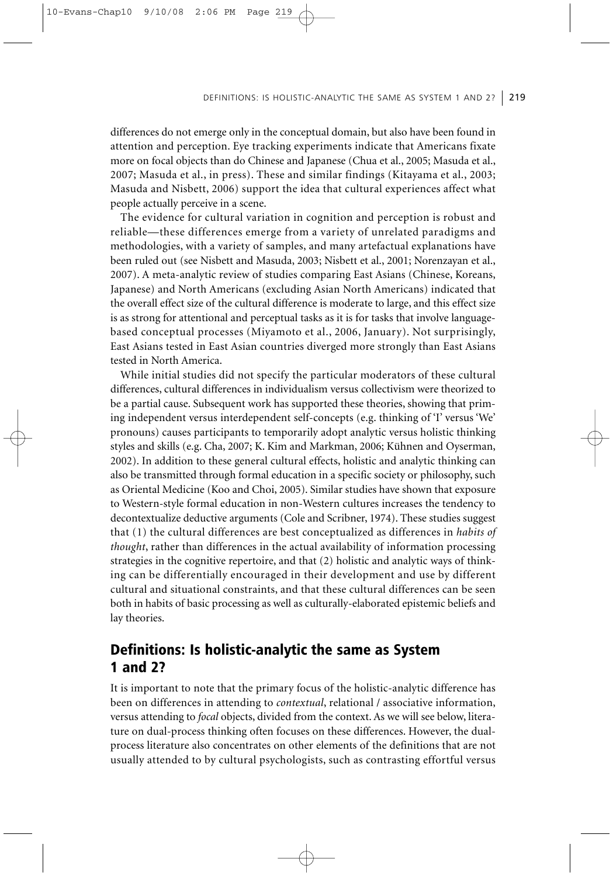differences do not emerge only in the conceptual domain, but also have been found in attention and perception. Eye tracking experiments indicate that Americans fixate more on focal objects than do Chinese and Japanese (Chua et al., 2005; Masuda et al., 2007; Masuda et al., in press). These and similar findings (Kitayama et al., 2003; Masuda and Nisbett, 2006) support the idea that cultural experiences affect what people actually perceive in a scene.

The evidence for cultural variation in cognition and perception is robust and reliable—these differences emerge from a variety of unrelated paradigms and methodologies, with a variety of samples, and many artefactual explanations have been ruled out (see Nisbett and Masuda, 2003; Nisbett et al., 2001; Norenzayan et al., 2007). A meta-analytic review of studies comparing East Asians (Chinese, Koreans, Japanese) and North Americans (excluding Asian North Americans) indicated that the overall effect size of the cultural difference is moderate to large, and this effect size is as strong for attentional and perceptual tasks as it is for tasks that involve languagebased conceptual processes (Miyamoto et al., 2006, January). Not surprisingly, East Asians tested in East Asian countries diverged more strongly than East Asians tested in North America.

While initial studies did not specify the particular moderators of these cultural differences, cultural differences in individualism versus collectivism were theorized to be a partial cause. Subsequent work has supported these theories, showing that priming independent versus interdependent self-concepts (e.g. thinking of 'I' versus 'We' pronouns) causes participants to temporarily adopt analytic versus holistic thinking styles and skills (e.g. Cha, 2007; K. Kim and Markman, 2006; Kühnen and Oyserman, 2002). In addition to these general cultural effects, holistic and analytic thinking can also be transmitted through formal education in a specific society or philosophy, such as Oriental Medicine (Koo and Choi, 2005). Similar studies have shown that exposure to Western-style formal education in non-Western cultures increases the tendency to decontextualize deductive arguments (Cole and Scribner, 1974). These studies suggest that (1) the cultural differences are best conceptualized as differences in *habits of thought*, rather than differences in the actual availability of information processing strategies in the cognitive repertoire, and that (2) holistic and analytic ways of thinking can be differentially encouraged in their development and use by different cultural and situational constraints, and that these cultural differences can be seen both in habits of basic processing as well as culturally-elaborated epistemic beliefs and lay theories.

# Definitions: Is holistic-analytic the same as System 1 and 2?

It is important to note that the primary focus of the holistic-analytic difference has been on differences in attending to *contextual*, relational / associative information, versus attending to *focal* objects, divided from the context. As we will see below, literature on dual-process thinking often focuses on these differences. However, the dualprocess literature also concentrates on other elements of the definitions that are not usually attended to by cultural psychologists, such as contrasting effortful versus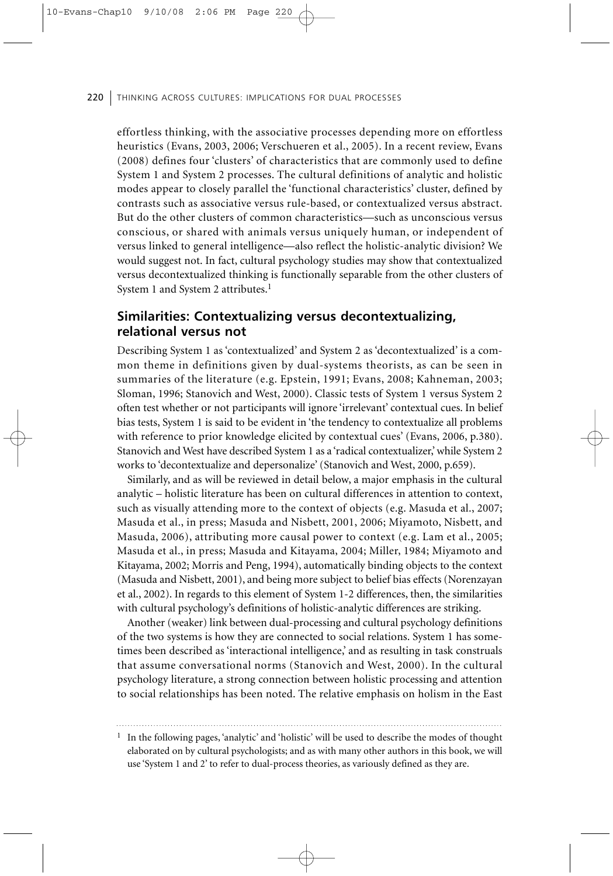effortless thinking, with the associative processes depending more on effortless heuristics (Evans, 2003, 2006; Verschueren et al., 2005). In a recent review, Evans (2008) defines four 'clusters' of characteristics that are commonly used to define System 1 and System 2 processes. The cultural definitions of analytic and holistic modes appear to closely parallel the 'functional characteristics' cluster, defined by contrasts such as associative versus rule-based, or contextualized versus abstract. But do the other clusters of common characteristics—such as unconscious versus conscious, or shared with animals versus uniquely human, or independent of versus linked to general intelligence—also reflect the holistic-analytic division? We would suggest not. In fact, cultural psychology studies may show that contextualized versus decontextualized thinking is functionally separable from the other clusters of System 1 and System 2 attributes.1

### **Similarities: Contextualizing versus decontextualizing, relational versus not**

Describing System 1 as 'contextualized' and System 2 as 'decontextualized' is a common theme in definitions given by dual-systems theorists, as can be seen in summaries of the literature (e.g. Epstein, 1991; Evans, 2008; Kahneman, 2003; Sloman, 1996; Stanovich and West, 2000). Classic tests of System 1 versus System 2 often test whether or not participants will ignore 'irrelevant' contextual cues. In belief bias tests, System 1 is said to be evident in 'the tendency to contextualize all problems with reference to prior knowledge elicited by contextual cues' (Evans, 2006, p.380). Stanovich and West have described System 1 as a 'radical contextualizer,' while System 2 works to 'decontextualize and depersonalize' (Stanovich and West, 2000, p.659).

Similarly, and as will be reviewed in detail below, a major emphasis in the cultural analytic – holistic literature has been on cultural differences in attention to context, such as visually attending more to the context of objects (e.g. Masuda et al., 2007; Masuda et al., in press; Masuda and Nisbett, 2001, 2006; Miyamoto, Nisbett, and Masuda, 2006), attributing more causal power to context (e.g. Lam et al., 2005; Masuda et al., in press; Masuda and Kitayama, 2004; Miller, 1984; Miyamoto and Kitayama, 2002; Morris and Peng, 1994), automatically binding objects to the context (Masuda and Nisbett, 2001), and being more subject to belief bias effects (Norenzayan et al., 2002). In regards to this element of System 1-2 differences, then, the similarities with cultural psychology's definitions of holistic-analytic differences are striking.

Another (weaker) link between dual-processing and cultural psychology definitions of the two systems is how they are connected to social relations. System 1 has sometimes been described as 'interactional intelligence,' and as resulting in task construals that assume conversational norms (Stanovich and West, 2000). In the cultural psychology literature, a strong connection between holistic processing and attention to social relationships has been noted. The relative emphasis on holism in the East

<sup>&</sup>lt;sup>1</sup> In the following pages, 'analytic' and 'holistic' will be used to describe the modes of thought elaborated on by cultural psychologists; and as with many other authors in this book, we will use 'System 1 and 2' to refer to dual-process theories, as variously defined as they are.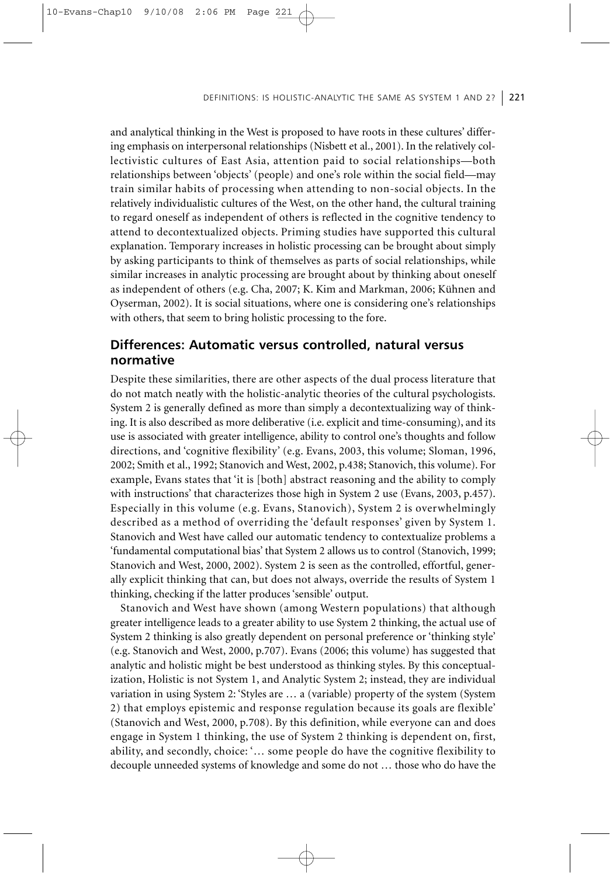DEFINITIONS: IS HOLISTIC-ANALYTIC THE SAME AS SYSTEM 1 AND 2?  $\mid$  221

and analytical thinking in the West is proposed to have roots in these cultures' differing emphasis on interpersonal relationships (Nisbett et al., 2001). In the relatively collectivistic cultures of East Asia, attention paid to social relationships—both relationships between 'objects' (people) and one's role within the social field—may train similar habits of processing when attending to non-social objects. In the relatively individualistic cultures of the West, on the other hand, the cultural training to regard oneself as independent of others is reflected in the cognitive tendency to attend to decontextualized objects. Priming studies have supported this cultural explanation. Temporary increases in holistic processing can be brought about simply by asking participants to think of themselves as parts of social relationships, while similar increases in analytic processing are brought about by thinking about oneself as independent of others (e.g. Cha, 2007; K. Kim and Markman, 2006; Kühnen and Oyserman, 2002). It is social situations, where one is considering one's relationships with others, that seem to bring holistic processing to the fore.

# **Differences: Automatic versus controlled, natural versus normative**

Despite these similarities, there are other aspects of the dual process literature that do not match neatly with the holistic-analytic theories of the cultural psychologists. System 2 is generally defined as more than simply a decontextualizing way of thinking. It is also described as more deliberative (i.e. explicit and time-consuming), and its use is associated with greater intelligence, ability to control one's thoughts and follow directions, and 'cognitive flexibility' (e.g. Evans, 2003, this volume; Sloman, 1996, 2002; Smith et al., 1992; Stanovich and West, 2002, p.438; Stanovich, this volume). For example, Evans states that 'it is [both] abstract reasoning and the ability to comply with instructions' that characterizes those high in System 2 use (Evans, 2003, p.457). Especially in this volume (e.g. Evans, Stanovich), System 2 is overwhelmingly described as a method of overriding the 'default responses' given by System 1. Stanovich and West have called our automatic tendency to contextualize problems a 'fundamental computational bias' that System 2 allows us to control (Stanovich, 1999; Stanovich and West, 2000, 2002). System 2 is seen as the controlled, effortful, generally explicit thinking that can, but does not always, override the results of System 1 thinking, checking if the latter produces 'sensible' output.

Stanovich and West have shown (among Western populations) that although greater intelligence leads to a greater ability to use System 2 thinking, the actual use of System 2 thinking is also greatly dependent on personal preference or 'thinking style' (e.g. Stanovich and West, 2000, p.707). Evans (2006; this volume) has suggested that analytic and holistic might be best understood as thinking styles. By this conceptualization, Holistic is not System 1, and Analytic System 2; instead, they are individual variation in using System 2: 'Styles are … a (variable) property of the system (System 2) that employs epistemic and response regulation because its goals are flexible' (Stanovich and West, 2000, p.708). By this definition, while everyone can and does engage in System 1 thinking, the use of System 2 thinking is dependent on, first, ability, and secondly, choice: '… some people do have the cognitive flexibility to decouple unneeded systems of knowledge and some do not … those who do have the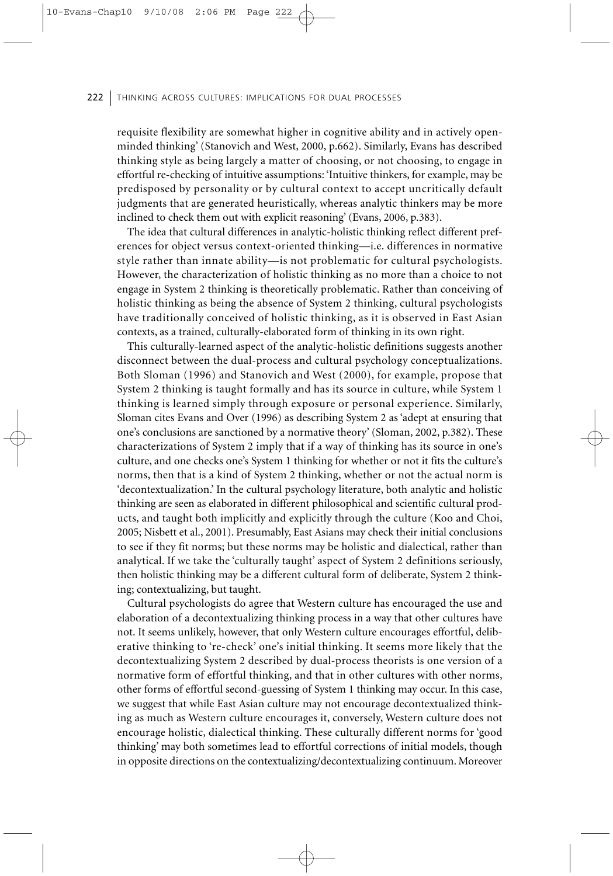requisite flexibility are somewhat higher in cognitive ability and in actively openminded thinking' (Stanovich and West, 2000, p.662). Similarly, Evans has described thinking style as being largely a matter of choosing, or not choosing, to engage in effortful re-checking of intuitive assumptions: 'Intuitive thinkers, for example, may be predisposed by personality or by cultural context to accept uncritically default judgments that are generated heuristically, whereas analytic thinkers may be more inclined to check them out with explicit reasoning' (Evans, 2006, p.383).

The idea that cultural differences in analytic-holistic thinking reflect different preferences for object versus context-oriented thinking—i.e. differences in normative style rather than innate ability—is not problematic for cultural psychologists. However, the characterization of holistic thinking as no more than a choice to not engage in System 2 thinking is theoretically problematic. Rather than conceiving of holistic thinking as being the absence of System 2 thinking, cultural psychologists have traditionally conceived of holistic thinking, as it is observed in East Asian contexts, as a trained, culturally-elaborated form of thinking in its own right.

This culturally-learned aspect of the analytic-holistic definitions suggests another disconnect between the dual-process and cultural psychology conceptualizations. Both Sloman (1996) and Stanovich and West (2000), for example, propose that System 2 thinking is taught formally and has its source in culture, while System 1 thinking is learned simply through exposure or personal experience. Similarly, Sloman cites Evans and Over (1996) as describing System 2 as 'adept at ensuring that one's conclusions are sanctioned by a normative theory' (Sloman, 2002, p.382). These characterizations of System 2 imply that if a way of thinking has its source in one's culture, and one checks one's System 1 thinking for whether or not it fits the culture's norms, then that is a kind of System 2 thinking, whether or not the actual norm is 'decontextualization.' In the cultural psychology literature, both analytic and holistic thinking are seen as elaborated in different philosophical and scientific cultural products, and taught both implicitly and explicitly through the culture (Koo and Choi, 2005; Nisbett et al., 2001). Presumably, East Asians may check their initial conclusions to see if they fit norms; but these norms may be holistic and dialectical, rather than analytical. If we take the 'culturally taught' aspect of System 2 definitions seriously, then holistic thinking may be a different cultural form of deliberate, System 2 thinking; contextualizing, but taught.

Cultural psychologists do agree that Western culture has encouraged the use and elaboration of a decontextualizing thinking process in a way that other cultures have not. It seems unlikely, however, that only Western culture encourages effortful, deliberative thinking to 're-check' one's initial thinking. It seems more likely that the decontextualizing System 2 described by dual-process theorists is one version of a normative form of effortful thinking, and that in other cultures with other norms, other forms of effortful second-guessing of System 1 thinking may occur. In this case, we suggest that while East Asian culture may not encourage decontextualized thinking as much as Western culture encourages it, conversely, Western culture does not encourage holistic, dialectical thinking. These culturally different norms for 'good thinking' may both sometimes lead to effortful corrections of initial models, though in opposite directions on the contextualizing/decontextualizing continuum. Moreover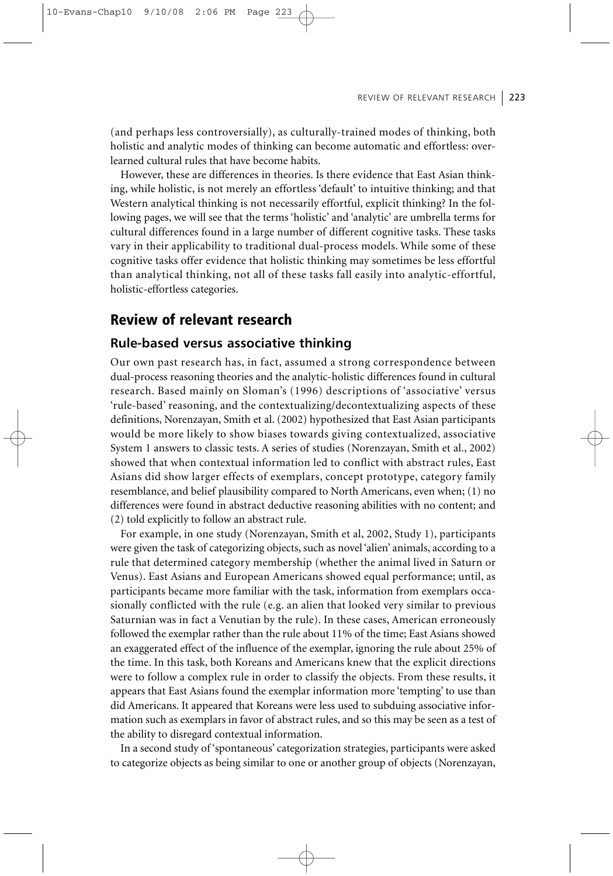(and perhaps less controversially), as culturally-trained modes of thinking, both holistic and analytic modes of thinking can become automatic and effortless: overlearned cultural rules that have become habits.

However, these are differences in theories. Is there evidence that East Asian thinking, while holistic, is not merely an effortless 'default' to intuitive thinking; and that Western analytical thinking is not necessarily effortful, explicit thinking? In the following pages, we will see that the terms 'holistic' and 'analytic' are umbrella terms for cultural differences found in a large number of different cognitive tasks. These tasks vary in their applicability to traditional dual-process models. While some of these cognitive tasks offer evidence that holistic thinking may sometimes be less effortful than analytical thinking, not all of these tasks fall easily into analytic-effortful, holistic-effortless categories.

# Review of relevant research

#### **Rule-based versus associative thinking**

Our own past research has, in fact, assumed a strong correspondence between dual-process reasoning theories and the analytic-holistic differences found in cultural research. Based mainly on Sloman's (1996) descriptions of 'associative' versus 'rule-based' reasoning, and the contextualizing/decontextualizing aspects of these definitions, Norenzayan, Smith et al. (2002) hypothesized that East Asian participants would be more likely to show biases towards giving contextualized, associative System 1 answers to classic tests. A series of studies (Norenzayan, Smith et al., 2002) showed that when contextual information led to conflict with abstract rules, East Asians did show larger effects of exemplars, concept prototype, category family resemblance, and belief plausibility compared to North Americans, even when; (1) no differences were found in abstract deductive reasoning abilities with no content; and (2) told explicitly to follow an abstract rule.

For example, in one study (Norenzayan, Smith et al, 2002, Study 1), participants were given the task of categorizing objects, such as novel 'alien' animals, according to a rule that determined category membership (whether the animal lived in Saturn or Venus). East Asians and European Americans showed equal performance; until, as participants became more familiar with the task, information from exemplars occasionally conflicted with the rule (e.g. an alien that looked very similar to previous Saturnian was in fact a Venutian by the rule). In these cases, American erroneously followed the exemplar rather than the rule about 11% of the time; East Asians showed an exaggerated effect of the influence of the exemplar, ignoring the rule about 25% of the time. In this task, both Koreans and Americans knew that the explicit directions were to follow a complex rule in order to classify the objects. From these results, it appears that East Asians found the exemplar information more 'tempting' to use than did Americans. It appeared that Koreans were less used to subduing associative information such as exemplars in favor of abstract rules, and so this may be seen as a test of the ability to disregard contextual information.

In a second study of 'spontaneous' categorization strategies, participants were asked to categorize objects as being similar to one or another group of objects (Norenzayan,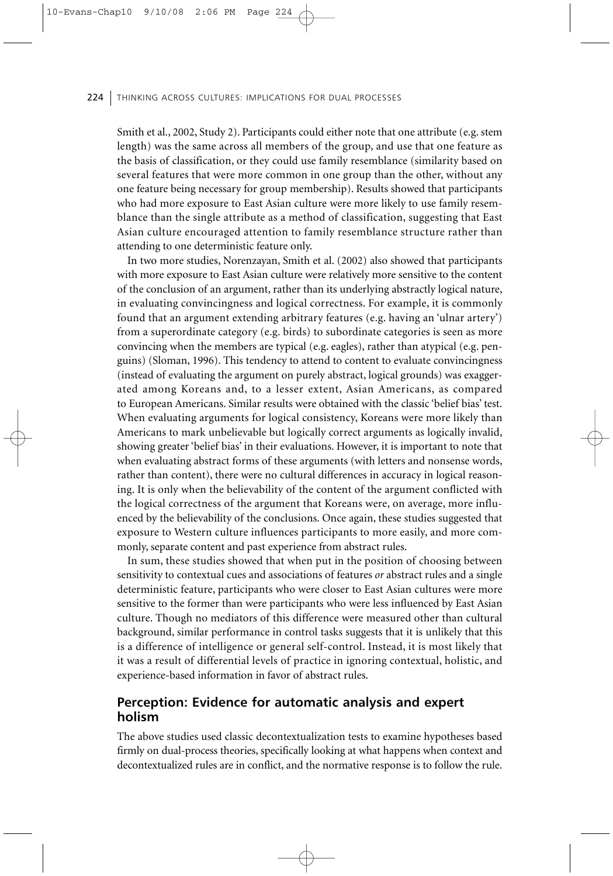Smith et al., 2002, Study 2). Participants could either note that one attribute (e.g. stem length) was the same across all members of the group, and use that one feature as the basis of classification, or they could use family resemblance (similarity based on several features that were more common in one group than the other, without any one feature being necessary for group membership). Results showed that participants who had more exposure to East Asian culture were more likely to use family resemblance than the single attribute as a method of classification, suggesting that East Asian culture encouraged attention to family resemblance structure rather than attending to one deterministic feature only.

In two more studies, Norenzayan, Smith et al. (2002) also showed that participants with more exposure to East Asian culture were relatively more sensitive to the content of the conclusion of an argument, rather than its underlying abstractly logical nature, in evaluating convincingness and logical correctness. For example, it is commonly found that an argument extending arbitrary features (e.g. having an 'ulnar artery') from a superordinate category (e.g. birds) to subordinate categories is seen as more convincing when the members are typical (e.g. eagles), rather than atypical (e.g. penguins) (Sloman, 1996). This tendency to attend to content to evaluate convincingness (instead of evaluating the argument on purely abstract, logical grounds) was exaggerated among Koreans and, to a lesser extent, Asian Americans, as compared to European Americans. Similar results were obtained with the classic 'belief bias' test. When evaluating arguments for logical consistency, Koreans were more likely than Americans to mark unbelievable but logically correct arguments as logically invalid, showing greater 'belief bias' in their evaluations. However, it is important to note that when evaluating abstract forms of these arguments (with letters and nonsense words, rather than content), there were no cultural differences in accuracy in logical reasoning. It is only when the believability of the content of the argument conflicted with the logical correctness of the argument that Koreans were, on average, more influenced by the believability of the conclusions. Once again, these studies suggested that exposure to Western culture influences participants to more easily, and more commonly, separate content and past experience from abstract rules.

In sum, these studies showed that when put in the position of choosing between sensitivity to contextual cues and associations of features *or* abstract rules and a single deterministic feature, participants who were closer to East Asian cultures were more sensitive to the former than were participants who were less influenced by East Asian culture. Though no mediators of this difference were measured other than cultural background, similar performance in control tasks suggests that it is unlikely that this is a difference of intelligence or general self-control. Instead, it is most likely that it was a result of differential levels of practice in ignoring contextual, holistic, and experience-based information in favor of abstract rules.

## **Perception: Evidence for automatic analysis and expert holism**

The above studies used classic decontextualization tests to examine hypotheses based firmly on dual-process theories, specifically looking at what happens when context and decontextualized rules are in conflict, and the normative response is to follow the rule.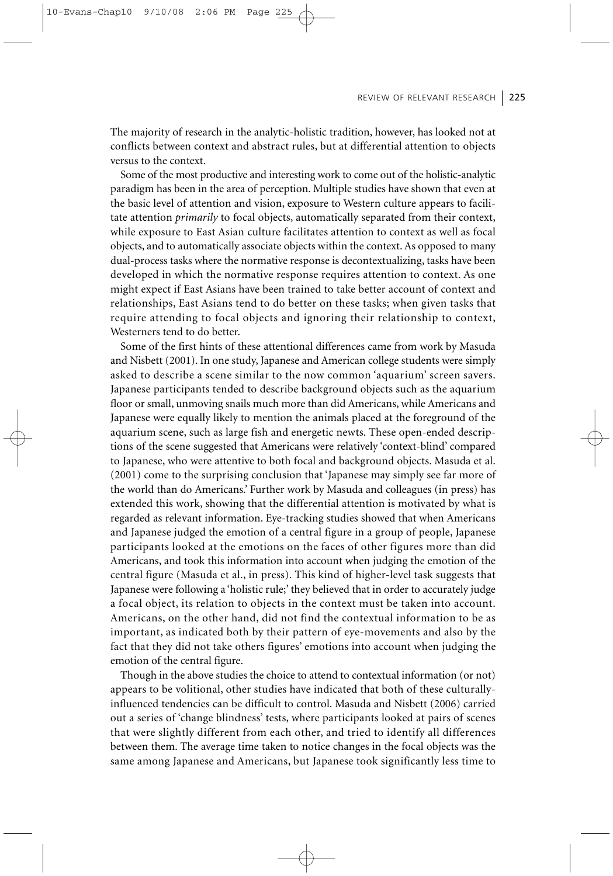The majority of research in the analytic-holistic tradition, however, has looked not at conflicts between context and abstract rules, but at differential attention to objects versus to the context.

Some of the most productive and interesting work to come out of the holistic-analytic paradigm has been in the area of perception. Multiple studies have shown that even at the basic level of attention and vision, exposure to Western culture appears to facilitate attention *primarily* to focal objects, automatically separated from their context, while exposure to East Asian culture facilitates attention to context as well as focal objects, and to automatically associate objects within the context. As opposed to many dual-process tasks where the normative response is decontextualizing, tasks have been developed in which the normative response requires attention to context. As one might expect if East Asians have been trained to take better account of context and relationships, East Asians tend to do better on these tasks; when given tasks that require attending to focal objects and ignoring their relationship to context, Westerners tend to do better.

Some of the first hints of these attentional differences came from work by Masuda and Nisbett (2001). In one study, Japanese and American college students were simply asked to describe a scene similar to the now common 'aquarium' screen savers. Japanese participants tended to describe background objects such as the aquarium floor or small, unmoving snails much more than did Americans, while Americans and Japanese were equally likely to mention the animals placed at the foreground of the aquarium scene, such as large fish and energetic newts. These open-ended descriptions of the scene suggested that Americans were relatively 'context-blind' compared to Japanese, who were attentive to both focal and background objects. Masuda et al. (2001) come to the surprising conclusion that 'Japanese may simply see far more of the world than do Americans.' Further work by Masuda and colleagues (in press) has extended this work, showing that the differential attention is motivated by what is regarded as relevant information. Eye-tracking studies showed that when Americans and Japanese judged the emotion of a central figure in a group of people, Japanese participants looked at the emotions on the faces of other figures more than did Americans, and took this information into account when judging the emotion of the central figure (Masuda et al., in press). This kind of higher-level task suggests that Japanese were following a 'holistic rule;' they believed that in order to accurately judge a focal object, its relation to objects in the context must be taken into account. Americans, on the other hand, did not find the contextual information to be as important, as indicated both by their pattern of eye-movements and also by the fact that they did not take others figures' emotions into account when judging the emotion of the central figure.

Though in the above studies the choice to attend to contextual information (or not) appears to be volitional, other studies have indicated that both of these culturallyinfluenced tendencies can be difficult to control. Masuda and Nisbett (2006) carried out a series of 'change blindness' tests, where participants looked at pairs of scenes that were slightly different from each other, and tried to identify all differences between them. The average time taken to notice changes in the focal objects was the same among Japanese and Americans, but Japanese took significantly less time to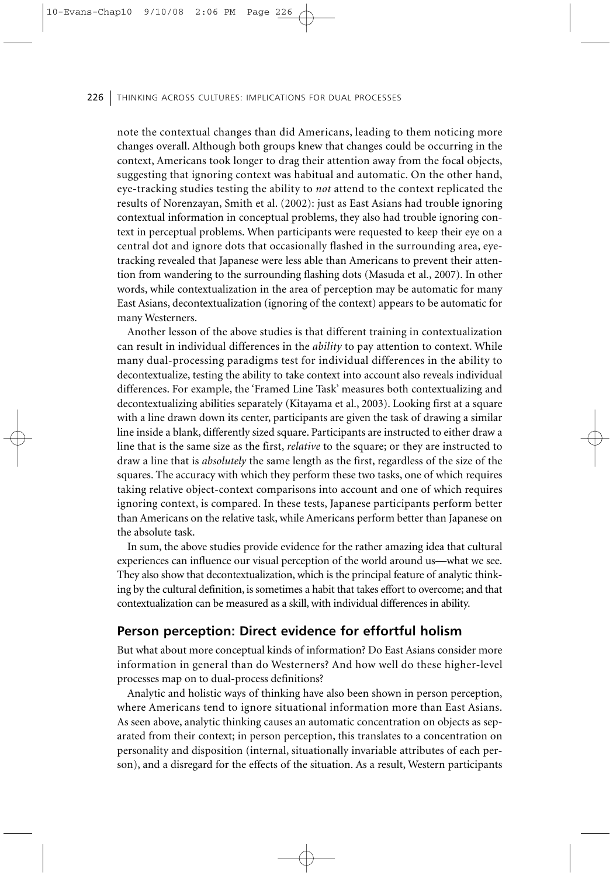note the contextual changes than did Americans, leading to them noticing more changes overall. Although both groups knew that changes could be occurring in the context, Americans took longer to drag their attention away from the focal objects, suggesting that ignoring context was habitual and automatic. On the other hand, eye-tracking studies testing the ability to *not* attend to the context replicated the results of Norenzayan, Smith et al. (2002): just as East Asians had trouble ignoring contextual information in conceptual problems, they also had trouble ignoring context in perceptual problems. When participants were requested to keep their eye on a central dot and ignore dots that occasionally flashed in the surrounding area, eyetracking revealed that Japanese were less able than Americans to prevent their attention from wandering to the surrounding flashing dots (Masuda et al., 2007). In other words, while contextualization in the area of perception may be automatic for many East Asians, decontextualization (ignoring of the context) appears to be automatic for many Westerners.

Another lesson of the above studies is that different training in contextualization can result in individual differences in the *ability* to pay attention to context. While many dual-processing paradigms test for individual differences in the ability to decontextualize, testing the ability to take context into account also reveals individual differences. For example, the 'Framed Line Task' measures both contextualizing and decontextualizing abilities separately (Kitayama et al., 2003). Looking first at a square with a line drawn down its center, participants are given the task of drawing a similar line inside a blank, differently sized square. Participants are instructed to either draw a line that is the same size as the first, *relative* to the square; or they are instructed to draw a line that is *absolutely* the same length as the first, regardless of the size of the squares. The accuracy with which they perform these two tasks, one of which requires taking relative object-context comparisons into account and one of which requires ignoring context, is compared. In these tests, Japanese participants perform better than Americans on the relative task, while Americans perform better than Japanese on the absolute task.

In sum, the above studies provide evidence for the rather amazing idea that cultural experiences can influence our visual perception of the world around us—what we see. They also show that decontextualization, which is the principal feature of analytic thinking by the cultural definition, is sometimes a habit that takes effort to overcome; and that contextualization can be measured as a skill, with individual differences in ability.

#### **Person perception: Direct evidence for effortful holism**

But what about more conceptual kinds of information? Do East Asians consider more information in general than do Westerners? And how well do these higher-level processes map on to dual-process definitions?

Analytic and holistic ways of thinking have also been shown in person perception, where Americans tend to ignore situational information more than East Asians. As seen above, analytic thinking causes an automatic concentration on objects as separated from their context; in person perception, this translates to a concentration on personality and disposition (internal, situationally invariable attributes of each person), and a disregard for the effects of the situation. As a result, Western participants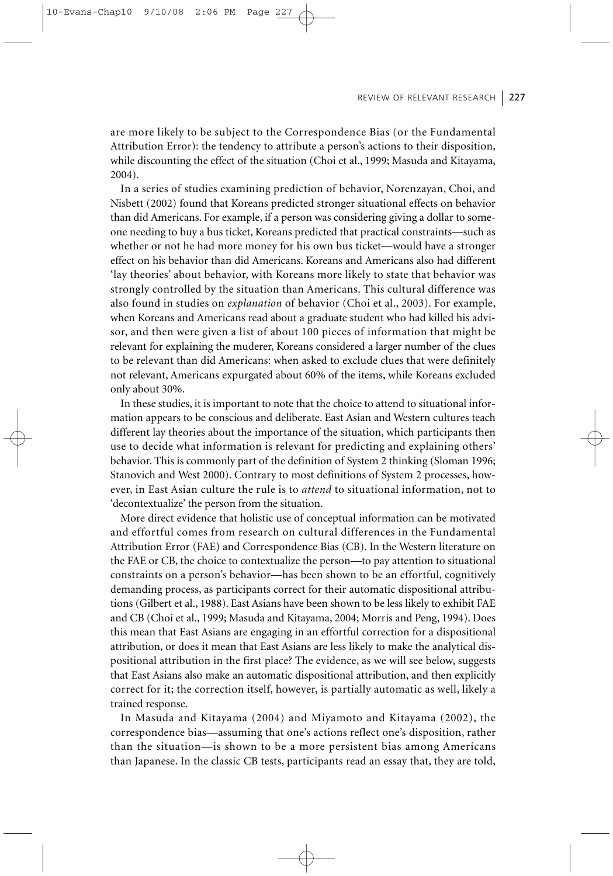are more likely to be subject to the Correspondence Bias (or the Fundamental Attribution Error): the tendency to attribute a person's actions to their disposition, while discounting the effect of the situation (Choi et al., 1999; Masuda and Kitayama, 2004).

In a series of studies examining prediction of behavior, Norenzayan, Choi, and Nisbett (2002) found that Koreans predicted stronger situational effects on behavior than did Americans. For example, if a person was considering giving a dollar to someone needing to buy a bus ticket, Koreans predicted that practical constraints—such as whether or not he had more money for his own bus ticket—would have a stronger effect on his behavior than did Americans. Koreans and Americans also had different 'lay theories' about behavior, with Koreans more likely to state that behavior was strongly controlled by the situation than Americans. This cultural difference was also found in studies on *explanation* of behavior (Choi et al., 2003). For example, when Koreans and Americans read about a graduate student who had killed his advisor, and then were given a list of about 100 pieces of information that might be relevant for explaining the muderer, Koreans considered a larger number of the clues to be relevant than did Americans: when asked to exclude clues that were definitely not relevant, Americans expurgated about 60% of the items, while Koreans excluded only about 30%.

In these studies, it is important to note that the choice to attend to situational information appears to be conscious and deliberate. East Asian and Western cultures teach different lay theories about the importance of the situation, which participants then use to decide what information is relevant for predicting and explaining others' behavior. This is commonly part of the definition of System 2 thinking (Sloman 1996; Stanovich and West 2000). Contrary to most definitions of System 2 processes, however, in East Asian culture the rule is to *attend* to situational information, not to 'decontextualize' the person from the situation.

More direct evidence that holistic use of conceptual information can be motivated and effortful comes from research on cultural differences in the Fundamental Attribution Error (FAE) and Correspondence Bias (CB). In the Western literature on the FAE or CB, the choice to contextualize the person—to pay attention to situational constraints on a person's behavior—has been shown to be an effortful, cognitively demanding process, as participants correct for their automatic dispositional attributions (Gilbert et al., 1988). East Asians have been shown to be less likely to exhibit FAE and CB (Choi et al., 1999; Masuda and Kitayama, 2004; Morris and Peng, 1994). Does this mean that East Asians are engaging in an effortful correction for a dispositional attribution, or does it mean that East Asians are less likely to make the analytical dispositional attribution in the first place? The evidence, as we will see below, suggests that East Asians also make an automatic dispositional attribution, and then explicitly correct for it; the correction itself, however, is partially automatic as well, likely a trained response.

In Masuda and Kitayama (2004) and Miyamoto and Kitayama (2002), the correspondence bias—assuming that one's actions reflect one's disposition, rather than the situation—is shown to be a more persistent bias among Americans than Japanese. In the classic CB tests, participants read an essay that, they are told,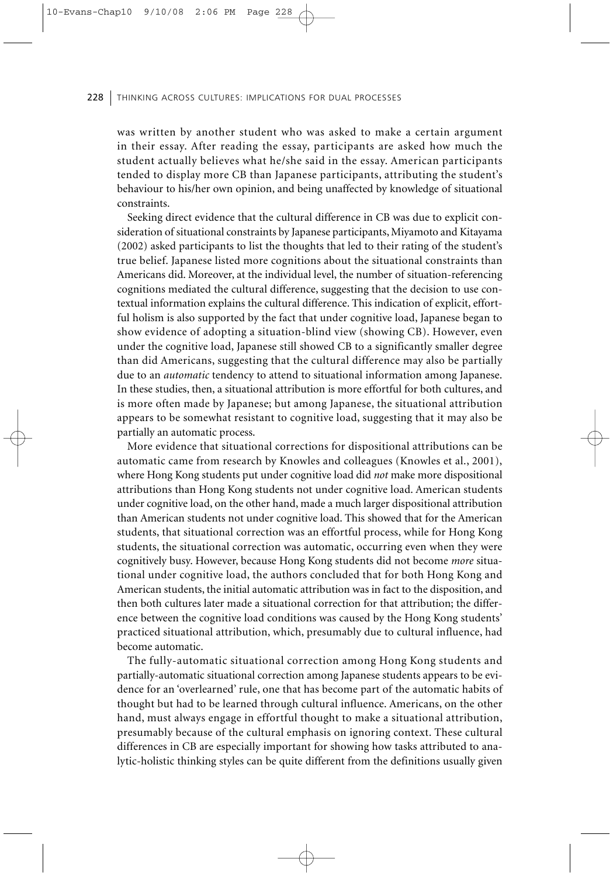was written by another student who was asked to make a certain argument in their essay. After reading the essay, participants are asked how much the student actually believes what he/she said in the essay. American participants tended to display more CB than Japanese participants, attributing the student's behaviour to his/her own opinion, and being unaffected by knowledge of situational constraints.

Seeking direct evidence that the cultural difference in CB was due to explicit consideration of situational constraints by Japanese participants, Miyamoto and Kitayama (2002) asked participants to list the thoughts that led to their rating of the student's true belief. Japanese listed more cognitions about the situational constraints than Americans did. Moreover, at the individual level, the number of situation-referencing cognitions mediated the cultural difference, suggesting that the decision to use contextual information explains the cultural difference. This indication of explicit, effortful holism is also supported by the fact that under cognitive load, Japanese began to show evidence of adopting a situation-blind view (showing CB). However, even under the cognitive load, Japanese still showed CB to a significantly smaller degree than did Americans, suggesting that the cultural difference may also be partially due to an *automatic* tendency to attend to situational information among Japanese. In these studies, then, a situational attribution is more effortful for both cultures, and is more often made by Japanese; but among Japanese, the situational attribution appears to be somewhat resistant to cognitive load, suggesting that it may also be partially an automatic process.

More evidence that situational corrections for dispositional attributions can be automatic came from research by Knowles and colleagues (Knowles et al., 2001), where Hong Kong students put under cognitive load did *not* make more dispositional attributions than Hong Kong students not under cognitive load. American students under cognitive load, on the other hand, made a much larger dispositional attribution than American students not under cognitive load. This showed that for the American students, that situational correction was an effortful process, while for Hong Kong students, the situational correction was automatic, occurring even when they were cognitively busy. However, because Hong Kong students did not become *more* situational under cognitive load, the authors concluded that for both Hong Kong and American students, the initial automatic attribution was in fact to the disposition, and then both cultures later made a situational correction for that attribution; the difference between the cognitive load conditions was caused by the Hong Kong students' practiced situational attribution, which, presumably due to cultural influence, had become automatic.

The fully-automatic situational correction among Hong Kong students and partially-automatic situational correction among Japanese students appears to be evidence for an 'overlearned' rule, one that has become part of the automatic habits of thought but had to be learned through cultural influence. Americans, on the other hand, must always engage in effortful thought to make a situational attribution, presumably because of the cultural emphasis on ignoring context. These cultural differences in CB are especially important for showing how tasks attributed to analytic-holistic thinking styles can be quite different from the definitions usually given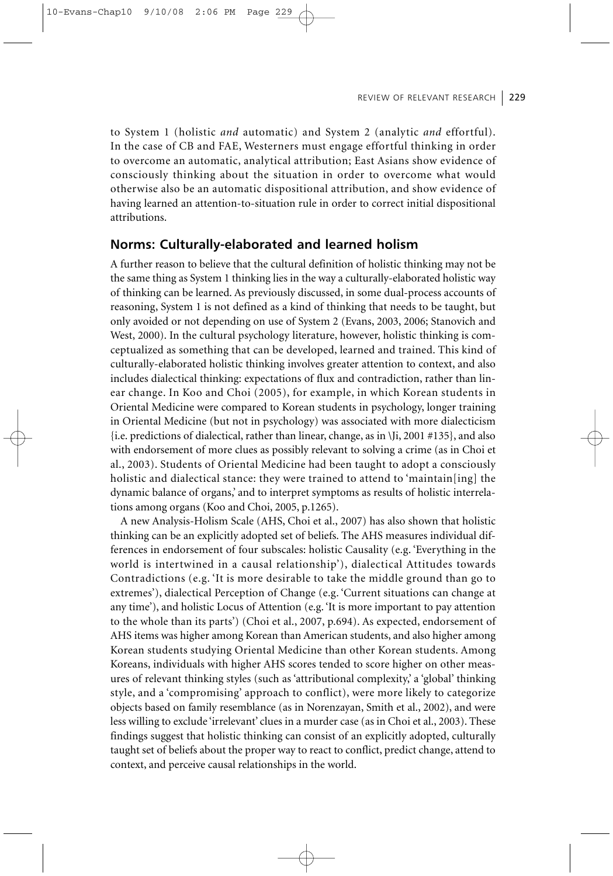to System 1 (holistic *and* automatic) and System 2 (analytic *and* effortful). In the case of CB and FAE, Westerners must engage effortful thinking in order to overcome an automatic, analytical attribution; East Asians show evidence of consciously thinking about the situation in order to overcome what would otherwise also be an automatic dispositional attribution, and show evidence of having learned an attention-to-situation rule in order to correct initial dispositional attributions.

#### **Norms: Culturally-elaborated and learned holism**

A further reason to believe that the cultural definition of holistic thinking may not be the same thing as System 1 thinking lies in the way a culturally-elaborated holistic way of thinking can be learned. As previously discussed, in some dual-process accounts of reasoning, System 1 is not defined as a kind of thinking that needs to be taught, but only avoided or not depending on use of System 2 (Evans, 2003, 2006; Stanovich and West, 2000). In the cultural psychology literature, however, holistic thinking is comceptualized as something that can be developed, learned and trained. This kind of culturally-elaborated holistic thinking involves greater attention to context, and also includes dialectical thinking: expectations of flux and contradiction, rather than linear change. In Koo and Choi (2005), for example, in which Korean students in Oriental Medicine were compared to Korean students in psychology, longer training in Oriental Medicine (but not in psychology) was associated with more dialecticism {i.e. predictions of dialectical, rather than linear, change, as in \Ji, 2001 #135}, and also with endorsement of more clues as possibly relevant to solving a crime (as in Choi et al., 2003). Students of Oriental Medicine had been taught to adopt a consciously holistic and dialectical stance: they were trained to attend to 'maintain[ing] the dynamic balance of organs,' and to interpret symptoms as results of holistic interrelations among organs (Koo and Choi, 2005, p.1265).

A new Analysis-Holism Scale (AHS, Choi et al., 2007) has also shown that holistic thinking can be an explicitly adopted set of beliefs. The AHS measures individual differences in endorsement of four subscales: holistic Causality (e.g. 'Everything in the world is intertwined in a causal relationship'), dialectical Attitudes towards Contradictions (e.g. 'It is more desirable to take the middle ground than go to extremes'), dialectical Perception of Change (e.g. 'Current situations can change at any time'), and holistic Locus of Attention (e.g. 'It is more important to pay attention to the whole than its parts') (Choi et al., 2007, p.694). As expected, endorsement of AHS items was higher among Korean than American students, and also higher among Korean students studying Oriental Medicine than other Korean students. Among Koreans, individuals with higher AHS scores tended to score higher on other measures of relevant thinking styles (such as 'attributional complexity,' a 'global' thinking style, and a 'compromising' approach to conflict), were more likely to categorize objects based on family resemblance (as in Norenzayan, Smith et al., 2002), and were less willing to exclude 'irrelevant' clues in a murder case (as in Choi et al., 2003). These findings suggest that holistic thinking can consist of an explicitly adopted, culturally taught set of beliefs about the proper way to react to conflict, predict change, attend to context, and perceive causal relationships in the world.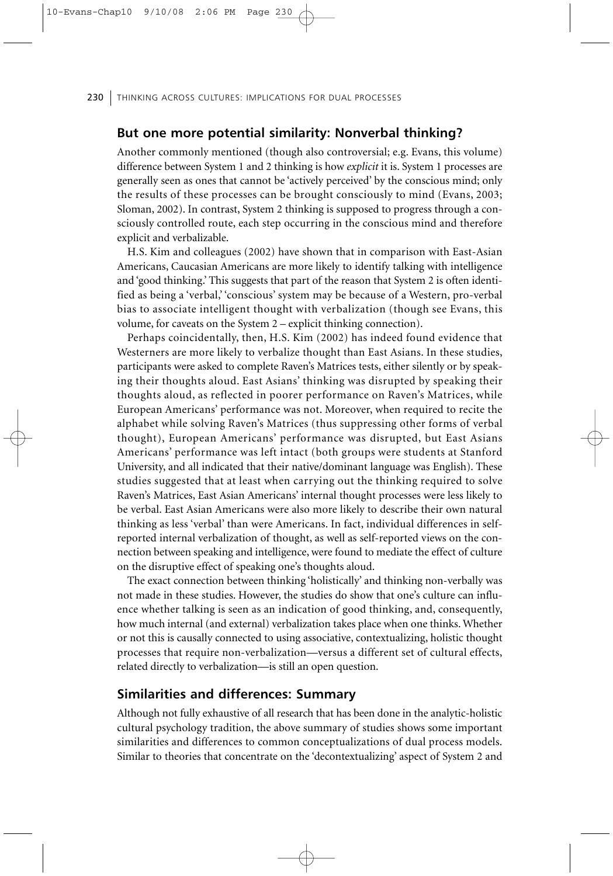### **But one more potential similarity: Nonverbal thinking?**

Another commonly mentioned (though also controversial; e.g. Evans, this volume) difference between System 1 and 2 thinking is how *explicit* it is. System 1 processes are generally seen as ones that cannot be 'actively perceived' by the conscious mind; only the results of these processes can be brought consciously to mind (Evans, 2003; Sloman, 2002). In contrast, System 2 thinking is supposed to progress through a consciously controlled route, each step occurring in the conscious mind and therefore explicit and verbalizable.

H.S. Kim and colleagues (2002) have shown that in comparison with East-Asian Americans, Caucasian Americans are more likely to identify talking with intelligence and 'good thinking.' This suggests that part of the reason that System 2 is often identified as being a 'verbal,' 'conscious' system may be because of a Western, pro-verbal bias to associate intelligent thought with verbalization (though see Evans, this volume, for caveats on the System 2 – explicit thinking connection).

Perhaps coincidentally, then, H.S. Kim (2002) has indeed found evidence that Westerners are more likely to verbalize thought than East Asians. In these studies, participants were asked to complete Raven's Matrices tests, either silently or by speaking their thoughts aloud. East Asians' thinking was disrupted by speaking their thoughts aloud, as reflected in poorer performance on Raven's Matrices, while European Americans' performance was not. Moreover, when required to recite the alphabet while solving Raven's Matrices (thus suppressing other forms of verbal thought), European Americans' performance was disrupted, but East Asians Americans' performance was left intact (both groups were students at Stanford University, and all indicated that their native/dominant language was English). These studies suggested that at least when carrying out the thinking required to solve Raven's Matrices, East Asian Americans' internal thought processes were less likely to be verbal. East Asian Americans were also more likely to describe their own natural thinking as less 'verbal' than were Americans. In fact, individual differences in selfreported internal verbalization of thought, as well as self-reported views on the connection between speaking and intelligence, were found to mediate the effect of culture on the disruptive effect of speaking one's thoughts aloud.

The exact connection between thinking 'holistically' and thinking non-verbally was not made in these studies. However, the studies do show that one's culture can influence whether talking is seen as an indication of good thinking, and, consequently, how much internal (and external) verbalization takes place when one thinks. Whether or not this is causally connected to using associative, contextualizing, holistic thought processes that require non-verbalization—versus a different set of cultural effects, related directly to verbalization—is still an open question.

### **Similarities and differences: Summary**

Although not fully exhaustive of all research that has been done in the analytic-holistic cultural psychology tradition, the above summary of studies shows some important similarities and differences to common conceptualizations of dual process models. Similar to theories that concentrate on the 'decontextualizing' aspect of System 2 and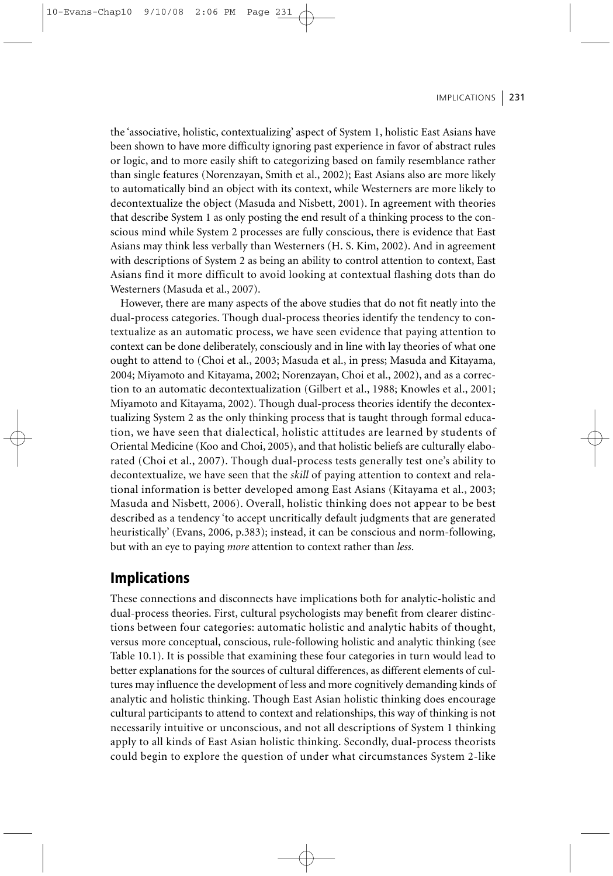the 'associative, holistic, contextualizing' aspect of System 1, holistic East Asians have been shown to have more difficulty ignoring past experience in favor of abstract rules or logic, and to more easily shift to categorizing based on family resemblance rather than single features (Norenzayan, Smith et al., 2002); East Asians also are more likely to automatically bind an object with its context, while Westerners are more likely to decontextualize the object (Masuda and Nisbett, 2001). In agreement with theories that describe System 1 as only posting the end result of a thinking process to the conscious mind while System 2 processes are fully conscious, there is evidence that East Asians may think less verbally than Westerners (H. S. Kim, 2002). And in agreement with descriptions of System 2 as being an ability to control attention to context, East Asians find it more difficult to avoid looking at contextual flashing dots than do Westerners (Masuda et al., 2007).

However, there are many aspects of the above studies that do not fit neatly into the dual-process categories. Though dual-process theories identify the tendency to contextualize as an automatic process, we have seen evidence that paying attention to context can be done deliberately, consciously and in line with lay theories of what one ought to attend to (Choi et al., 2003; Masuda et al., in press; Masuda and Kitayama, 2004; Miyamoto and Kitayama, 2002; Norenzayan, Choi et al., 2002), and as a correction to an automatic decontextualization (Gilbert et al., 1988; Knowles et al., 2001; Miyamoto and Kitayama, 2002). Though dual-process theories identify the decontextualizing System 2 as the only thinking process that is taught through formal education, we have seen that dialectical, holistic attitudes are learned by students of Oriental Medicine (Koo and Choi, 2005), and that holistic beliefs are culturally elaborated (Choi et al., 2007). Though dual-process tests generally test one's ability to decontextualize, we have seen that the *skill* of paying attention to context and relational information is better developed among East Asians (Kitayama et al., 2003; Masuda and Nisbett, 2006). Overall, holistic thinking does not appear to be best described as a tendency 'to accept uncritically default judgments that are generated heuristically' (Evans, 2006, p.383); instead, it can be conscious and norm-following, but with an eye to paying *more* attention to context rather than *less*.

### Implications

These connections and disconnects have implications both for analytic-holistic and dual-process theories. First, cultural psychologists may benefit from clearer distinctions between four categories: automatic holistic and analytic habits of thought, versus more conceptual, conscious, rule-following holistic and analytic thinking (see Table 10.1). It is possible that examining these four categories in turn would lead to better explanations for the sources of cultural differences, as different elements of cultures may influence the development of less and more cognitively demanding kinds of analytic and holistic thinking. Though East Asian holistic thinking does encourage cultural participants to attend to context and relationships, this way of thinking is not necessarily intuitive or unconscious, and not all descriptions of System 1 thinking apply to all kinds of East Asian holistic thinking. Secondly, dual-process theorists could begin to explore the question of under what circumstances System 2-like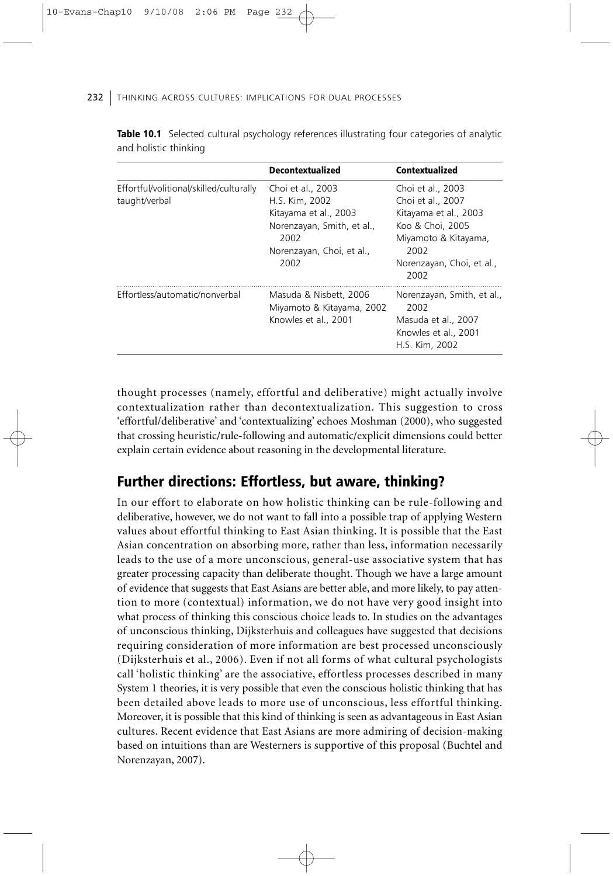|                                                          | <b>Decontextualized</b>                                                                                                                 | <b>Contextualized</b>                                                                                                                                    |
|----------------------------------------------------------|-----------------------------------------------------------------------------------------------------------------------------------------|----------------------------------------------------------------------------------------------------------------------------------------------------------|
| Effortful/volitional/skilled/culturally<br>taught/verbal | Choi et al., 2003<br>H.S. Kim, 2002<br>Kitayama et al., 2003<br>Norenzayan, Smith, et al.,<br>2002<br>Norenzayan, Choi, et al.,<br>2002 | Choi et al., 2003<br>Choi et al., 2007<br>Kitayama et al., 2003<br>Koo & Choi, 2005<br>Miyamoto & Kitayama,<br>2002<br>Norenzayan, Choi, et al.,<br>2002 |
| Effortless/automatic/nonverbal                           | Masuda & Nisbett, 2006<br>Miyamoto & Kitayama, 2002<br>Knowles et al., 2001                                                             | Norenzayan, Smith, et al.,<br>2002<br>Masuda et al., 2007<br>Knowles et al., 2001<br>H.S. Kim, 2002                                                      |

Table 10.1 Selected cultural psychology references illustrating four categories of analytic and holistic thinking

thought processes (namely, effortful and deliberative) might actually involve contextualization rather than decontextualization. This suggestion to cross 'effortful/deliberative' and 'contextualizing' echoes Moshman (2000), who suggested that crossing heuristic/rule-following and automatic/explicit dimensions could better explain certain evidence about reasoning in the developmental literature.

# Further directions: Effortless, but aware, thinking?

In our effort to elaborate on how holistic thinking can be rule-following and deliberative, however, we do not want to fall into a possible trap of applying Western values about effortful thinking to East Asian thinking. It is possible that the East Asian concentration on absorbing more, rather than less, information necessarily leads to the use of a more unconscious, general-use associative system that has greater processing capacity than deliberate thought. Though we have a large amount of evidence that suggests that East Asians are better able, and more likely, to pay attention to more (contextual) information, we do not have very good insight into what process of thinking this conscious choice leads to. In studies on the advantages of unconscious thinking, Dijksterhuis and colleagues have suggested that decisions requiring consideration of more information are best processed unconsciously (Dijksterhuis et al., 2006). Even if not all forms of what cultural psychologists call 'holistic thinking' are the associative, effortless processes described in many System 1 theories, it is very possible that even the conscious holistic thinking that has been detailed above leads to more use of unconscious, less effortful thinking. Moreover, it is possible that this kind of thinking is seen as advantageous in East Asian cultures. Recent evidence that East Asians are more admiring of decision-making based on intuitions than are Westerners is supportive of this proposal (Buchtel and Norenzayan, 2007).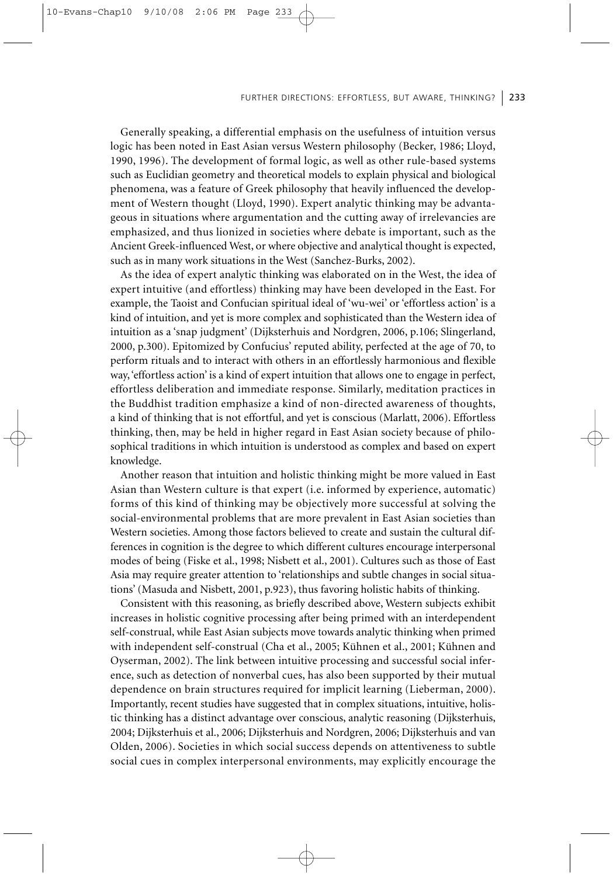Generally speaking, a differential emphasis on the usefulness of intuition versus logic has been noted in East Asian versus Western philosophy (Becker, 1986; Lloyd, 1990, 1996). The development of formal logic, as well as other rule-based systems such as Euclidian geometry and theoretical models to explain physical and biological phenomena, was a feature of Greek philosophy that heavily influenced the development of Western thought (Lloyd, 1990). Expert analytic thinking may be advantageous in situations where argumentation and the cutting away of irrelevancies are emphasized, and thus lionized in societies where debate is important, such as the Ancient Greek-influenced West, or where objective and analytical thought is expected, such as in many work situations in the West (Sanchez-Burks, 2002).

As the idea of expert analytic thinking was elaborated on in the West, the idea of expert intuitive (and effortless) thinking may have been developed in the East. For example, the Taoist and Confucian spiritual ideal of 'wu-wei' or 'effortless action' is a kind of intuition, and yet is more complex and sophisticated than the Western idea of intuition as a 'snap judgment' (Dijksterhuis and Nordgren, 2006, p.106; Slingerland, 2000, p.300). Epitomized by Confucius' reputed ability, perfected at the age of 70, to perform rituals and to interact with others in an effortlessly harmonious and flexible way, 'effortless action' is a kind of expert intuition that allows one to engage in perfect, effortless deliberation and immediate response. Similarly, meditation practices in the Buddhist tradition emphasize a kind of non-directed awareness of thoughts, a kind of thinking that is not effortful, and yet is conscious (Marlatt, 2006). Effortless thinking, then, may be held in higher regard in East Asian society because of philosophical traditions in which intuition is understood as complex and based on expert knowledge.

Another reason that intuition and holistic thinking might be more valued in East Asian than Western culture is that expert (i.e. informed by experience, automatic) forms of this kind of thinking may be objectively more successful at solving the social-environmental problems that are more prevalent in East Asian societies than Western societies. Among those factors believed to create and sustain the cultural differences in cognition is the degree to which different cultures encourage interpersonal modes of being (Fiske et al., 1998; Nisbett et al., 2001). Cultures such as those of East Asia may require greater attention to 'relationships and subtle changes in social situations' (Masuda and Nisbett, 2001, p.923), thus favoring holistic habits of thinking.

Consistent with this reasoning, as briefly described above, Western subjects exhibit increases in holistic cognitive processing after being primed with an interdependent self-construal, while East Asian subjects move towards analytic thinking when primed with independent self-construal (Cha et al., 2005; Kühnen et al., 2001; Kühnen and Oyserman, 2002). The link between intuitive processing and successful social inference, such as detection of nonverbal cues, has also been supported by their mutual dependence on brain structures required for implicit learning (Lieberman, 2000). Importantly, recent studies have suggested that in complex situations, intuitive, holistic thinking has a distinct advantage over conscious, analytic reasoning (Dijksterhuis, 2004; Dijksterhuis et al., 2006; Dijksterhuis and Nordgren, 2006; Dijksterhuis and van Olden, 2006). Societies in which social success depends on attentiveness to subtle social cues in complex interpersonal environments, may explicitly encourage the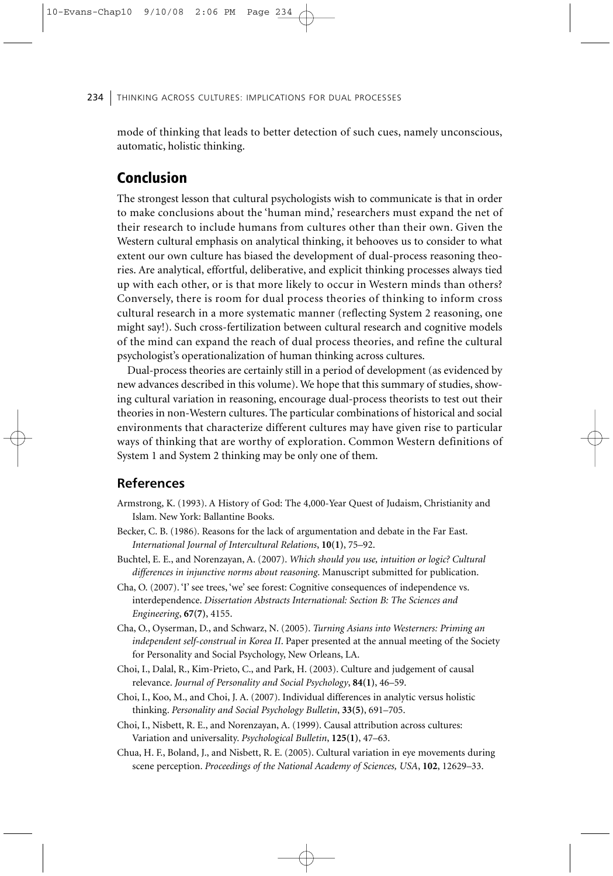mode of thinking that leads to better detection of such cues, namely unconscious, automatic, holistic thinking.

# Conclusion

The strongest lesson that cultural psychologists wish to communicate is that in order to make conclusions about the 'human mind,' researchers must expand the net of their research to include humans from cultures other than their own. Given the Western cultural emphasis on analytical thinking, it behooves us to consider to what extent our own culture has biased the development of dual-process reasoning theories. Are analytical, effortful, deliberative, and explicit thinking processes always tied up with each other, or is that more likely to occur in Western minds than others? Conversely, there is room for dual process theories of thinking to inform cross cultural research in a more systematic manner (reflecting System 2 reasoning, one might say!). Such cross-fertilization between cultural research and cognitive models of the mind can expand the reach of dual process theories, and refine the cultural psychologist's operationalization of human thinking across cultures.

Dual-process theories are certainly still in a period of development (as evidenced by new advances described in this volume). We hope that this summary of studies, showing cultural variation in reasoning, encourage dual-process theorists to test out their theories in non-Western cultures. The particular combinations of historical and social environments that characterize different cultures may have given rise to particular ways of thinking that are worthy of exploration. Common Western definitions of System 1 and System 2 thinking may be only one of them.

#### **References**

- Armstrong, K. (1993). A History of God: The 4,000-Year Quest of Judaism, Christianity and Islam. New York: Ballantine Books.
- Becker, C. B. (1986). Reasons for the lack of argumentation and debate in the Far East. *International Journal of Intercultural Relations*, **10(1)**, 75–92.
- Buchtel, E. E., and Norenzayan, A. (2007). *Which should you use, intuition or logic? Cultural differences in injunctive norms about reasoning*. Manuscript submitted for publication.
- Cha, O. (2007). 'I' see trees, 'we' see forest: Cognitive consequences of independence vs. interdependence. *Dissertation Abstracts International: Section B: The Sciences and Engineering*, **67(7)**, 4155.
- Cha, O., Oyserman, D., and Schwarz, N. (2005). *Turning Asians into Westerners: Priming an independent self-construal in Korea II*. Paper presented at the annual meeting of the Society for Personality and Social Psychology, New Orleans, LA.
- Choi, I., Dalal, R., Kim-Prieto, C., and Park, H. (2003). Culture and judgement of causal relevance. *Journal of Personality and Social Psychology*, **84(1)**, 46–59.
- Choi, I., Koo, M., and Choi, J. A. (2007). Individual differences in analytic versus holistic thinking. *Personality and Social Psychology Bulletin*, **33(5)**, 691–705.
- Choi, I., Nisbett, R. E., and Norenzayan, A. (1999). Causal attribution across cultures: Variation and universality. *Psychological Bulletin*, **125(1)**, 47–63.
- Chua, H. F., Boland, J., and Nisbett, R. E. (2005). Cultural variation in eye movements during scene perception. *Proceedings of the National Academy of Sciences, USA*, **102**, 12629–33.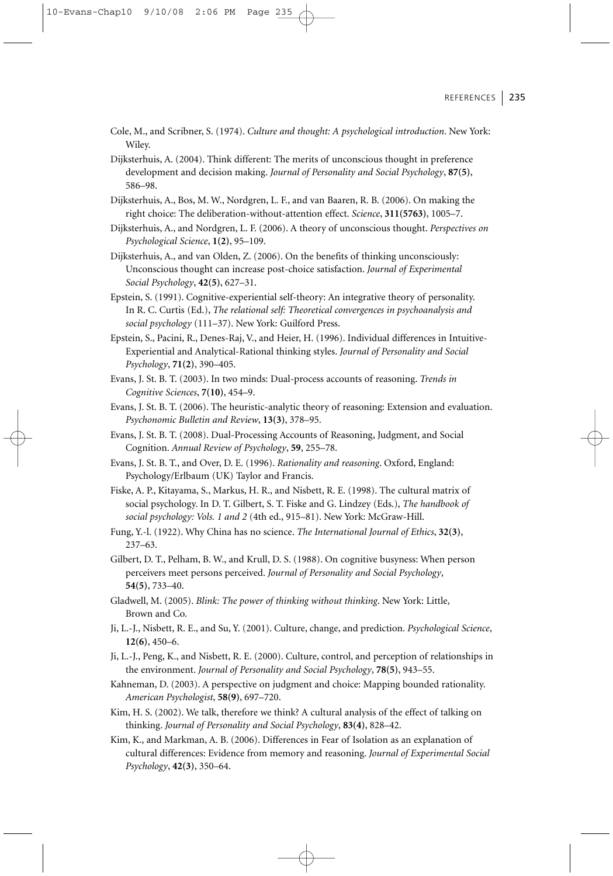#### REFERENCES | 235

- Cole, M., and Scribner, S. (1974). *Culture and thought: A psychological introduction*. New York: Wiley.
- Dijksterhuis, A. (2004). Think different: The merits of unconscious thought in preference development and decision making. *Journal of Personality and Social Psychology*, **87(5)**, 586–98.
- Dijksterhuis, A., Bos, M. W., Nordgren, L. F., and van Baaren, R. B. (2006). On making the right choice: The deliberation-without-attention effect. *Science*, **311(5763)**, 1005–7.
- Dijksterhuis, A., and Nordgren, L. F. (2006). A theory of unconscious thought. *Perspectives on Psychological Science*, **1(2)**, 95–109.
- Dijksterhuis, A., and van Olden, Z. (2006). On the benefits of thinking unconsciously: Unconscious thought can increase post-choice satisfaction. *Journal of Experimental Social Psychology*, **42(5)**, 627–31.
- Epstein, S. (1991). Cognitive-experiential self-theory: An integrative theory of personality. In R. C. Curtis (Ed.), *The relational self: Theoretical convergences in psychoanalysis and social psychology* (111–37). New York: Guilford Press.
- Epstein, S., Pacini, R., Denes-Raj, V., and Heier, H. (1996). Individual differences in Intuitive-Experiential and Analytical-Rational thinking styles. *Journal of Personality and Social Psychology*, **71(2)**, 390–405.
- Evans, J. St. B. T. (2003). In two minds: Dual-process accounts of reasoning. *Trends in Cognitive Sciences*, **7(10)**, 454–9.
- Evans, J. St. B. T. (2006). The heuristic-analytic theory of reasoning: Extension and evaluation. *Psychonomic Bulletin and Review*, **13(3)**, 378–95.
- Evans, J. St. B. T. (2008). Dual-Processing Accounts of Reasoning, Judgment, and Social Cognition. *Annual Review of Psychology*, **59**, 255–78.
- Evans, J. St. B. T., and Over, D. E. (1996). *Rationality and reasoning*. Oxford, England: Psychology/Erlbaum (UK) Taylor and Francis.
- Fiske, A. P., Kitayama, S., Markus, H. R., and Nisbett, R. E. (1998). The cultural matrix of social psychology. In D. T. Gilbert, S. T. Fiske and G. Lindzey (Eds.), *The handbook of social psychology: Vols. 1 and 2* (4th ed., 915–81). New York: McGraw-Hill.
- Fung, Y.-l. (1922). Why China has no science. *The International Journal of Ethics*, **32(3)**, 237–63.
- Gilbert, D. T., Pelham, B. W., and Krull, D. S. (1988). On cognitive busyness: When person perceivers meet persons perceived. *Journal of Personality and Social Psychology*, **54(5)**, 733–40.
- Gladwell, M. (2005). *Blink: The power of thinking without thinking*. New York: Little, Brown and Co.
- Ji, L.-J., Nisbett, R. E., and Su, Y. (2001). Culture, change, and prediction. *Psychological Science*, **12(6)**, 450–6.
- Ji, L.-J., Peng, K., and Nisbett, R. E. (2000). Culture, control, and perception of relationships in the environment. *Journal of Personality and Social Psychology*, **78(5)**, 943–55.
- Kahneman, D. (2003). A perspective on judgment and choice: Mapping bounded rationality. *American Psychologist*, **58(9)**, 697–720.
- Kim, H. S. (2002). We talk, therefore we think? A cultural analysis of the effect of talking on thinking. *Journal of Personality and Social Psychology*, **83(4)**, 828–42.
- Kim, K., and Markman, A. B. (2006). Differences in Fear of Isolation as an explanation of cultural differences: Evidence from memory and reasoning. *Journal of Experimental Social Psychology*, **42(3)**, 350–64.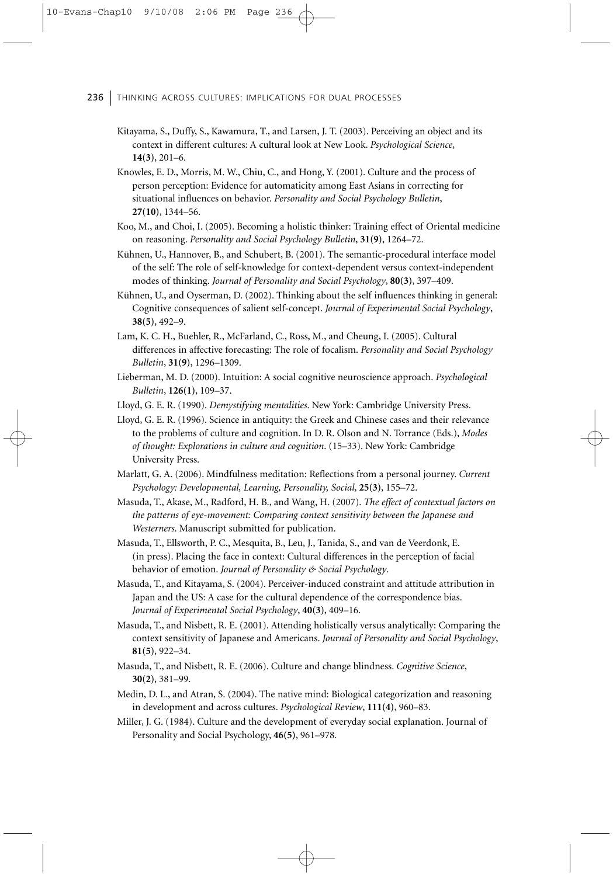- Kitayama, S., Duffy, S., Kawamura, T., and Larsen, J. T. (2003). Perceiving an object and its context in different cultures: A cultural look at New Look. *Psychological Science*, **14(3)**, 201–6.
- Knowles, E. D., Morris, M. W., Chiu, C., and Hong, Y. (2001). Culture and the process of person perception: Evidence for automaticity among East Asians in correcting for situational influences on behavior. *Personality and Social Psychology Bulletin*, **27(10)**, 1344–56.
- Koo, M., and Choi, I. (2005). Becoming a holistic thinker: Training effect of Oriental medicine on reasoning. *Personality and Social Psychology Bulletin*, **31(9)**, 1264–72.
- Kühnen, U., Hannover, B., and Schubert, B. (2001). The semantic-procedural interface model of the self: The role of self-knowledge for context-dependent versus context-independent modes of thinking. *Journal of Personality and Social Psychology*, **80(3)**, 397–409.
- Kühnen, U., and Oyserman, D. (2002). Thinking about the self influences thinking in general: Cognitive consequences of salient self-concept. *Journal of Experimental Social Psychology*, **38(5)**, 492–9.
- Lam, K. C. H., Buehler, R., McFarland, C., Ross, M., and Cheung, I. (2005). Cultural differences in affective forecasting: The role of focalism. *Personality and Social Psychology Bulletin*, **31(9)**, 1296–1309.
- Lieberman, M. D. (2000). Intuition: A social cognitive neuroscience approach. *Psychological Bulletin*, **126(1)**, 109–37.
- Lloyd, G. E. R. (1990). *Demystifying mentalities*. New York: Cambridge University Press.
- Lloyd, G. E. R. (1996). Science in antiquity: the Greek and Chinese cases and their relevance to the problems of culture and cognition. In D. R. Olson and N. Torrance (Eds.), *Modes of thought: Explorations in culture and cognition*. (15–33). New York: Cambridge University Press.
- Marlatt, G. A. (2006). Mindfulness meditation: Reflections from a personal journey. *Current Psychology: Developmental, Learning, Personality, Social*, **25(3)**, 155–72.
- Masuda, T., Akase, M., Radford, H. B., and Wang, H. (2007). *The effect of contextual factors on the patterns of eye-movement: Comparing context sensitivity between the Japanese and Westerners*. Manuscript submitted for publication.
- Masuda, T., Ellsworth, P. C., Mesquita, B., Leu, J., Tanida, S., and van de Veerdonk, E. (in press). Placing the face in context: Cultural differences in the perception of facial behavior of emotion. *Journal of Personality & Social Psychology*.
- Masuda, T., and Kitayama, S. (2004). Perceiver-induced constraint and attitude attribution in Japan and the US: A case for the cultural dependence of the correspondence bias. *Journal of Experimental Social Psychology*, **40(3)**, 409–16.
- Masuda, T., and Nisbett, R. E. (2001). Attending holistically versus analytically: Comparing the context sensitivity of Japanese and Americans. *Journal of Personality and Social Psychology*, **81(5)**, 922–34.
- Masuda, T., and Nisbett, R. E. (2006). Culture and change blindness. *Cognitive Science*, **30(2)**, 381–99.
- Medin, D. L., and Atran, S. (2004). The native mind: Biological categorization and reasoning in development and across cultures. *Psychological Review*, **111(4)**, 960–83.
- Miller, J. G. (1984). Culture and the development of everyday social explanation. Journal of Personality and Social Psychology, **46(5)**, 961–978.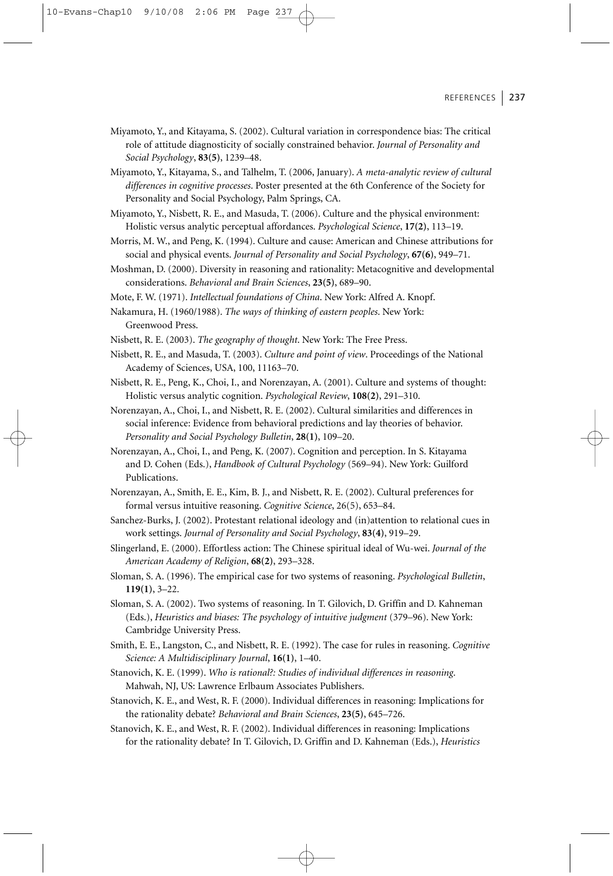#### REFERENCES 237

| Miyamoto, Y., and Kitayama, S. (2002). Cultural variation in correspondence bias: The critical |
|------------------------------------------------------------------------------------------------|
| role of attitude diagnosticity of socially constrained behavior. Journal of Personality and    |
| Social Psychology, 83(5), 1239–48.                                                             |

Miyamoto, Y., Kitayama, S., and Talhelm, T. (2006, January). *A meta-analytic review of cultural differences in cognitive processes*. Poster presented at the 6th Conference of the Society for Personality and Social Psychology, Palm Springs, CA.

- Miyamoto, Y., Nisbett, R. E., and Masuda, T. (2006). Culture and the physical environment: Holistic versus analytic perceptual affordances. *Psychological Science*, **17(2)**, 113–19.
- Morris, M. W., and Peng, K. (1994). Culture and cause: American and Chinese attributions for social and physical events. *Journal of Personality and Social Psychology*, **67(6)**, 949–71.
- Moshman, D. (2000). Diversity in reasoning and rationality: Metacognitive and developmental considerations. *Behavioral and Brain Sciences*, **23(5)**, 689–90.
- Mote, F. W. (1971). *Intellectual foundations of China*. New York: Alfred A. Knopf.
- Nakamura, H. (1960/1988). *The ways of thinking of eastern peoples*. New York: Greenwood Press.
- Nisbett, R. E. (2003). *The geography of thought*. New York: The Free Press.
- Nisbett, R. E., and Masuda, T. (2003). *Culture and point of view*. Proceedings of the National Academy of Sciences, USA, 100, 11163–70.
- Nisbett, R. E., Peng, K., Choi, I., and Norenzayan, A. (2001). Culture and systems of thought: Holistic versus analytic cognition. *Psychological Review*, **108(2)**, 291–310.
- Norenzayan, A., Choi, I., and Nisbett, R. E. (2002). Cultural similarities and differences in social inference: Evidence from behavioral predictions and lay theories of behavior. *Personality and Social Psychology Bulletin*, **28(1)**, 109–20.
- Norenzayan, A., Choi, I., and Peng, K. (2007). Cognition and perception. In S. Kitayama and D. Cohen (Eds.), *Handbook of Cultural Psychology* (569–94). New York: Guilford Publications.
- Norenzayan, A., Smith, E. E., Kim, B. J., and Nisbett, R. E. (2002). Cultural preferences for formal versus intuitive reasoning. *Cognitive Science*, 26(5), 653–84.
- Sanchez-Burks, J. (2002). Protestant relational ideology and (in)attention to relational cues in work settings. *Journal of Personality and Social Psychology*, **83(4)**, 919–29.
- Slingerland, E. (2000). Effortless action: The Chinese spiritual ideal of Wu-wei. *Journal of the American Academy of Religion*, **68(2)**, 293–328.
- Sloman, S. A. (1996). The empirical case for two systems of reasoning. *Psychological Bulletin*, **119(1)**, 3–22.
- Sloman, S. A. (2002). Two systems of reasoning. In T. Gilovich, D. Griffin and D. Kahneman (Eds.), *Heuristics and biases: The psychology of intuitive judgment* (379–96). New York: Cambridge University Press.
- Smith, E. E., Langston, C., and Nisbett, R. E. (1992). The case for rules in reasoning. *Cognitive Science: A Multidisciplinary Journal*, **16(1)**, 1–40.
- Stanovich, K. E. (1999). *Who is rational?: Studies of individual differences in reasoning*. Mahwah, NJ, US: Lawrence Erlbaum Associates Publishers.
- Stanovich, K. E., and West, R. F. (2000). Individual differences in reasoning: Implications for the rationality debate? *Behavioral and Brain Sciences*, **23(5)**, 645–726.
- Stanovich, K. E., and West, R. F. (2002). Individual differences in reasoning: Implications for the rationality debate? In T. Gilovich, D. Griffin and D. Kahneman (Eds.), *Heuristics*